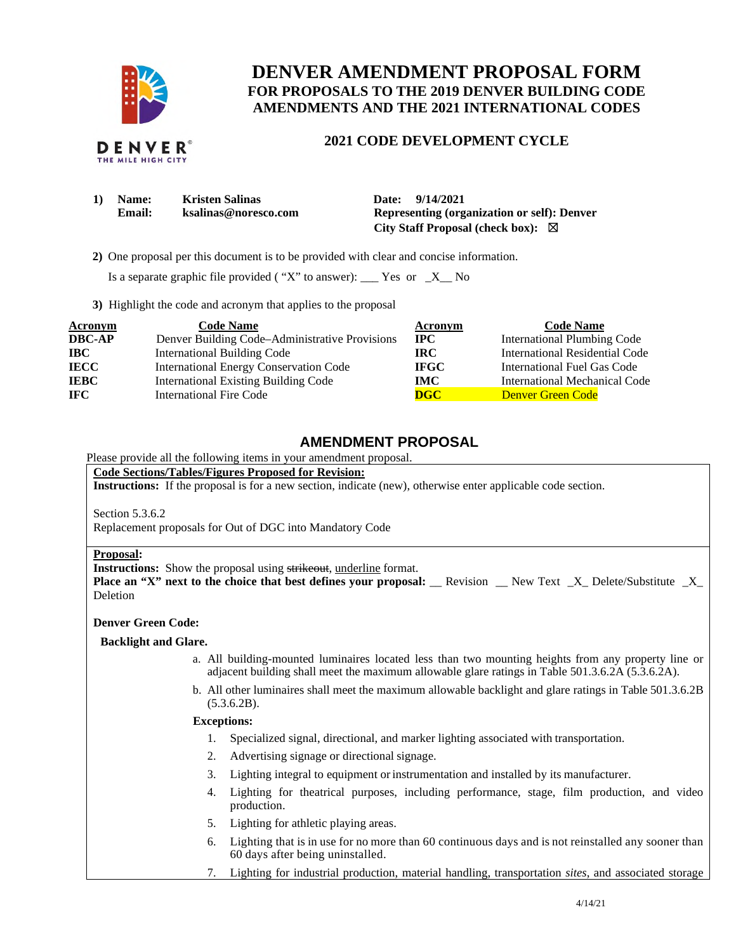

# **DENVER AMENDMENT PROPOSAL FORM FOR PROPOSALS TO THE 2019 DENVER BUILDING CODE AMENDMENTS AND THE 2021 INTERNATIONAL CODES**

## **2021 CODE DEVELOPMENT CYCLE**

| 1)<br><b>Name:</b> | <b>Kristen Salinas</b> | Date: 9/14/2021                                    |
|--------------------|------------------------|----------------------------------------------------|
| Email:             | ksalinas@noresco.com   | <b>Representing (organization or self): Denver</b> |
|                    |                        | City Staff Proposal (check box): $\boxtimes$       |

**2)** One proposal per this document is to be provided with clear and concise information.

Is a separate graphic file provided ("X" to answer): \_\_\_ Yes or  $-X$  No

**3)** Highlight the code and acronym that applies to the proposal

| <b>Acronym</b> | <b>Code Name</b>                               | Acronym      | <b>Code Name</b>                     |
|----------------|------------------------------------------------|--------------|--------------------------------------|
| <b>DBC-AP</b>  | Denver Building Code-Administrative Provisions | $_{\rm IPC}$ | <b>International Plumbing Code</b>   |
| <b>IBC</b>     | <b>International Building Code</b>             | IRC-         | International Residential Code       |
| <b>IECC</b>    | <b>International Energy Conservation Code</b>  | <b>IFGC</b>  | International Fuel Gas Code          |
| <b>IEBC</b>    | <b>International Existing Building Code</b>    | <b>IMC</b>   | <b>International Mechanical Code</b> |
| <b>IFC</b>     | <b>International Fire Code</b>                 | <b>DGC</b>   | <b>Denver Green Code</b>             |

## **AMENDMENT PROPOSAL**

## Please provide all the following items in your amendment proposal.

### **Code Sections/Tables/Figures Proposed for Revision:**

**Instructions:** If the proposal is for a new section, indicate (new), otherwise enter applicable code section.

Section 5.3.6.2

Replacement proposals for Out of DGC into Mandatory Code

#### **Proposal:**

**Instructions:** Show the proposal using strikeout, underline format.

**Place an "X" next to the choice that best defines your proposal: \_\_ Revision \_\_ New Text \_X\_ Delete/Substitute \_X\_** Deletion

### **Denver Green Code:**

#### **Backlight and Glare.**

- a. All building-mounted luminaires located less than two mounting heights from any property line or adjacent building shall meet the maximum allowable glare ratings in Table 501.3.6.2A (5.3.6.2A).
- b. All other luminaires shall meet the maximum allowable backlight and glare ratings in Table 501.3.6.2B  $(5.3.6.2B).$

### **Exceptions:**

- 1. Specialized signal, directional, and marker lighting associated with transportation.
- 2. Advertising signage or directional signage.
- 3. Lighting integral to equipment or instrumentation and installed by its manufacturer.
- 4. Lighting for theatrical purposes, including performance, stage, film production, and video production.
- 5. Lighting for athletic playing areas.
- 6. Lighting that is in use for no more than 60 continuous days and is not reinstalled any sooner than 60 days after being uninstalled.
- 7. Lighting for industrial production, material handling, transportation *sites*, and associated storage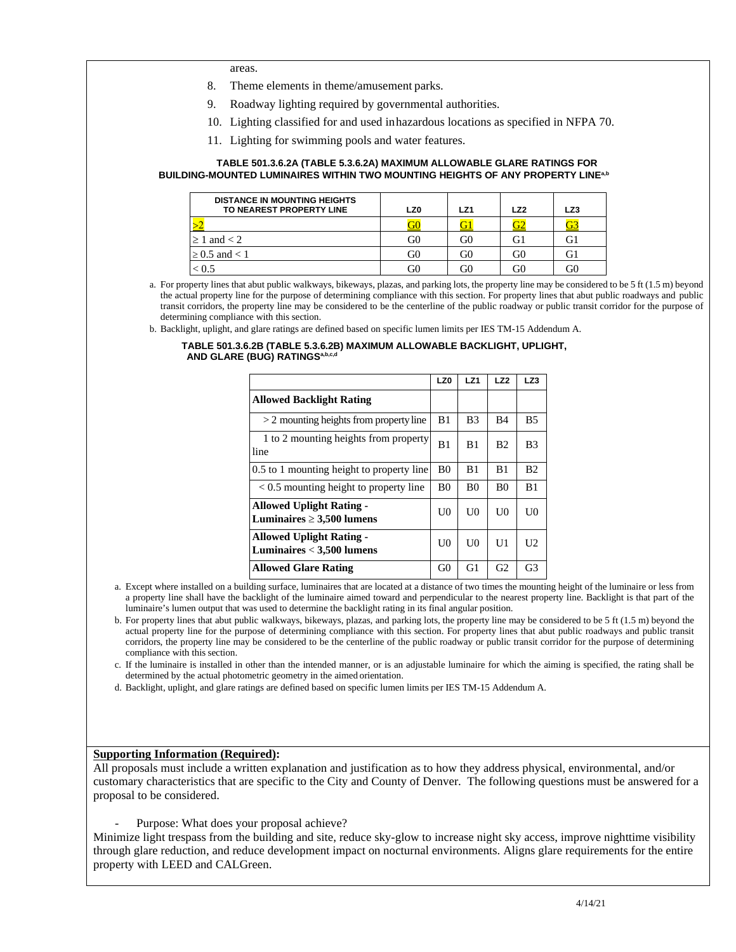areas.

- 8. Theme elements in theme/amusement parks.
- 9. Roadway lighting required by governmental authorities.
- 10. Lighting classified for and used inhazardous locations as specified in NFPA 70.
- 11. Lighting for swimming pools and water features.

#### **TABLE 501.3.6.2A (TABLE 5.3.6.2A) MAXIMUM ALLOWABLE GLARE RATINGS FOR BUILDING-MOUNTED LUMINAIRES WITHIN TWO MOUNTING HEIGHTS OF ANY PROPERTY LINEª.b**

| <b>DISTANCE IN MOUNTING HEIGHTS</b><br>TO NEAREST PROPERTY LINE | LZ0 | LZ1 | LZ2  | LZ3 |
|-----------------------------------------------------------------|-----|-----|------|-----|
|                                                                 |     |     |      |     |
| $\geq 1$ and $< 2$                                              | G0  | G0  |      |     |
| $\geq 0.5$ and $\lt 1$                                          | G0  | G0  | . it |     |
|                                                                 | GС  | G0  |      |     |

 a. For property lines that abut public walkways, bikeways, plazas, and parking lots, the property line may be considered to be 5 ft (1.5 m) beyond the actual property line for the purpose of determining compliance with this section. For property lines that abut public roadways and public transit corridors, the property line may be considered to be the centerline of the public roadway or public transit corridor for the purpose of determining compliance with this section.

b. Backlight, uplight, and glare ratings are defined based on specific lumen limits per IES TM-15 Addendum A.

#### **TABLE 501.3.6.2B (TABLE 5.3.6.2B) MAXIMUM ALLOWABLE BACKLIGHT, UPLIGHT, AND GLARE (BUG) RATINGSa,b,c,d**

|                                                                   | LZ0            | LZ1            | LZ2            | LZ3            |
|-------------------------------------------------------------------|----------------|----------------|----------------|----------------|
| <b>Allowed Backlight Rating</b>                                   |                |                |                |                |
| $>$ 2 mounting heights from property line                         | B1             | B <sub>3</sub> | B4             | B5             |
| 1 to 2 mounting heights from property<br>line                     | B1             | B1             | B <sub>2</sub> | B3             |
| 0.5 to 1 mounting height to property line                         | B <sub>0</sub> | B1             | B1             | B <sub>2</sub> |
| $\leq$ 0.5 mounting height to property line                       | <sub>B0</sub>  | B0             | B <sub>0</sub> | B1             |
| <b>Allowed Uplight Rating -</b><br>Luminaires $\geq 3,500$ lumens | UO             | UO             | UO             | UО             |
| <b>Allowed Uplight Rating -</b><br>Luminaires $<$ 3,500 lumens    | UO             | U0             | U1             | U <sub>2</sub> |
| <b>Allowed Glare Rating</b>                                       | G0             | G1             | G <sub>2</sub> | G3             |

 a. Except where installed on a building surface, luminaires that are located at a distance of two times the mounting height of the luminaire or less from a property line shall have the backlight of the luminaire aimed toward and perpendicular to the nearest property line. Backlight is that part of the luminaire's lumen output that was used to determine the backlight rating in its final angular position.

 b. For property lines that abut public walkways, bikeways, plazas, and parking lots, the property line may be considered to be 5 ft (1.5 m) beyond the actual property line for the purpose of determining compliance with this section. For property lines that abut public roadways and public transit corridors, the property line may be considered to be the centerline of the public roadway or public transit corridor for the purpose of determining compliance with this section.

 c. If the luminaire is installed in other than the intended manner, or is an adjustable luminaire for which the aiming is specified, the rating shall be determined by the actual photometric geometry in the aimed orientation.

d. Backlight, uplight, and glare ratings are defined based on specific lumen limits per IES TM-15 Addendum A.

### **Supporting Information (Required):**

 All proposals must include a written explanation and justification as to how they address physical, environmental, and/or customary characteristics that are specific to the City and County of Denver. The following questions must be answered for a proposal to be considered.

- Purpose: What does your proposal achieve?

 Minimize light trespass from the building and site, reduce sky-glow to increase night sky access, improve nighttime visibility through glare reduction, and reduce development impact on nocturnal environments. Aligns glare requirements for the entire property with LEED and CALGreen.